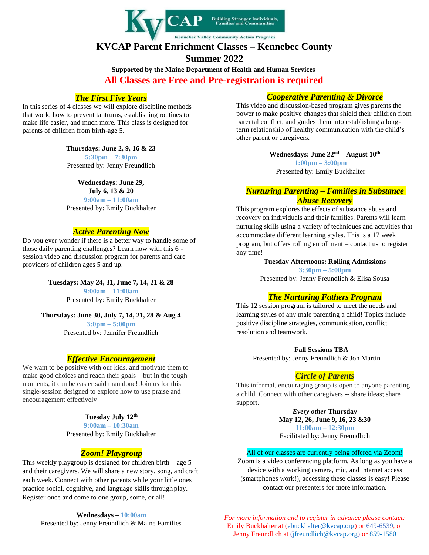

# **KVCAP Parent Enrichment Classes – Kennebec County Summer 2022**

**Supported by the Maine Department of Health and Human Services All Classes are Free and Pre-registration is required**

## *The First Five Years*

In this series of 4 classes we will explore discipline methods that work, how to prevent tantrums, establishing routines to make life easier, and much more. This class is designed for parents of children from birth-age 5.

#### **Thursdays: June 2, 9, 16 & 23**

**5:30pm – 7:30pm** Presented by: Jenny Freundlich

#### **Wednesdays: June 29,**

**July 6, 13 & 20 9:00am – 11:00am**

Presented by: Emily Buckhalter

## *Active Parenting Now*

Do you ever wonder if there is a better way to handle some of those daily parenting challenges? Learn how with this 6 session video and discussion program for parents and care providers of children ages 5 and up.

> **Tuesdays: May 24, 31, June 7, 14, 21 & 28 9:00am – 11:00am** Presented by: Emily Buckhalter

**Thursdays: June 30, July 7, 14, 21, 28 & Aug 4 3:0pm – 5:00pm** Presented by: Jennifer Freundlich

### *Effective Encouragement*

We want to be positive with our kids, and motivate them to make good choices and reach their goals—but in the tough moments, it can be easier said than done! Join us for this single-session designed to explore how to use praise and encouragement effectively

## **Tuesday July 12th**

**9:00am – 10:30am** Presented by: Emily Buckhalter

### *Zoom! Playgroup*

This weekly playgroup is designed for children birth – age  $5$ and their caregivers. We will share a new story, song, and craft each week. Connect with other parents while your little ones practice social, cognitive, and language skills through play. Register once and come to one group, some, or all!

> **Wednesdays – 10:00am** Presented by: Jenny Freundlich & Maine Families

#### *Cooperative Parenting & Divorce*

This video and discussion-based program gives parents the power to make positive changes that shield their children from parental conflict, and guides them into establishing a longterm relationship of healthy communication with the child's other parent or caregivers.

**Wednesdays: June 22nd – August 10th**

**1:00pm – 3:00pm** Presented by: Emily Buckhalter

#### *Nurturing Parenting – Families in Substance Abuse Recovery*

This program explores the effects of substance abuse and recovery on individuals and their families. Parents will learn nurturing skills using a variety of techniques and activities that accommodate different learning styles. This is a 17 week program, but offers rolling enrollment – contact us to register any time!

#### **Tuesday Afternoons: Rolling Admissions**

**3:30pm – 5:00pm** Presented by: Jenny Freundlich & Elisa Sousa

### *The Nurturing Fathers Program*

This 12 session program is tailored to meet the needs and learning styles of any male parenting a child! Topics include positive discipline strategies, communication, conflict resolution and teamwork.

**Fall Sessions TBA**

Presented by: Jenny Freundlich & Jon Martin

### *Circle of Parents*

This informal, encouraging group is open to anyone parenting a child. Connect with other caregivers -- share ideas; share support.

> *Every other* **Thursday May 12, 26, June 9, 16, 23 &30 11:00am – 12:30pm** Facilitated by: Jenny Freundlich

#### All of our classes are currently being offered via Zoom!

Zoom is a video conferencing platform. As long as you have a device with a working camera, mic, and internet access (smartphones work!), accessing these classes is easy! Please contact our presenters for more information.

*For more information and to register in advance please contact:*  Emily Buckhalter at [\(ebuckhalter@kvcap.org\)](mailto:ebuckhalter@kvcap.org) or 649-6539, or Jenny Freundlich at (jfreundlich@kvcap.org) or 859-1580